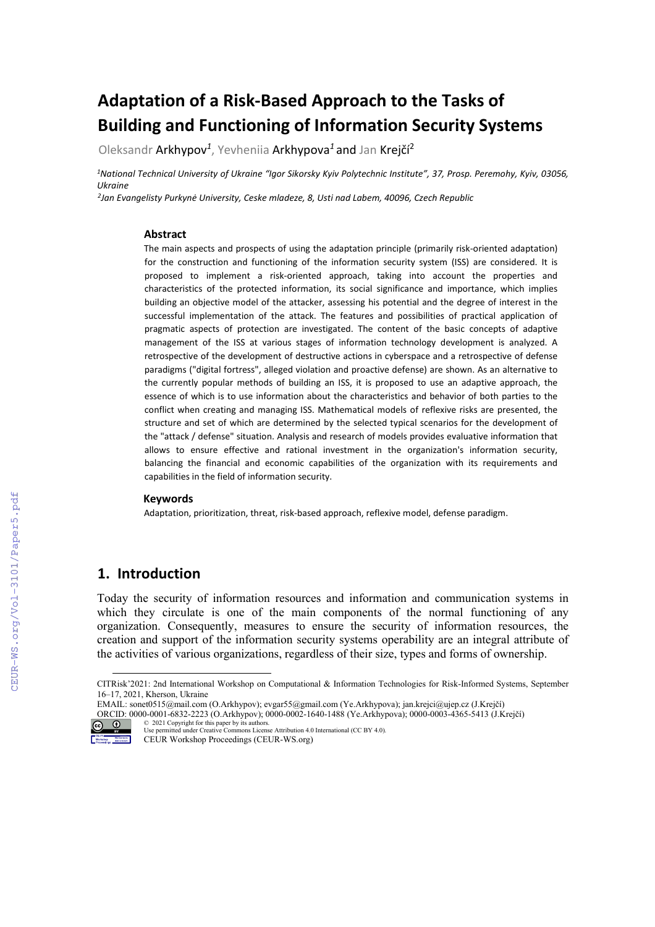# **Adaptation of a Risk-Based Approach to the Tasks of Building and Functioning of Information Security Systems**

Oleksandr Arkhypov*<sup>1</sup>*, Yevheniia Arkhypova*<sup>1</sup>* and Jan Krejčí<sup>2</sup>

*1National Technical University of Ukraine "Igor Sikorsky Kyiv Polytechnic Institute", 37, Prosp. Peremohy, Kyiv, 03056, Ukraine*

*<sup>2</sup>Jan Evangelisty Purkynė University, Ceske mladeze, 8, Usti nad Labem, 40096, Czech Republic*

#### **Abstract**

The main aspects and prospects of using the adaptation principle (primarily risk-oriented adaptation) for the construction and functioning of the information security system (ISS) are considered. It is proposed to implement a risk-oriented approach, taking into account the properties and characteristics of the protected information, its social significance and importance, which implies building an objective model of the attacker, assessing his potential and the degree of interest in the successful implementation of the attack. The features and possibilities of practical application of pragmatic aspects of protection are investigated. The content of the basic concepts of adaptive management of the ISS at various stages of information technology development is analyzed. A retrospective of the development of destructive actions in cyberspace and a retrospective of defense paradigms ("digital fortress", alleged violation and proactive defense) are shown. As an alternative to the currently popular methods of building an ISS, it is proposed to use an adaptive approach, the essence of which is to use information about the characteristics and behavior of both parties to the conflict when creating and managing ISS. Mathematical models of reflexive risks are presented, the structure and set of which are determined by the selected typical scenarios for the development of the "attack / defense" situation. Analysis and research of models provides evaluative information that allows to ensure effective and rational investment in the organization's information security, balancing the financial and economic capabilities of the organization with its requirements and capabilities in the field of information security.

#### **Keywords**

Adaptation, prioritization, threat, risk-based approach, reflexive model, defense paradigm.

### **1. Introduction**

Today the security of information resources and information and communication systems in which they circulate is one of the main components of the normal functioning of any organization. Consequently, measures to ensure the security of information resources, the creation and support of the information security systems operability are an integral attribute of the activities of various organizations, regardless of their size, types and forms of ownership.

<span id="page-0-0"></span>ORCID: 0000-0001-6832-2223 (O.Arkhypov); 0000-0002-1640-1488 (Ye.Arkhypova); 0000-0003-4365-5413 (J.Krejčí) © 2021 Copyright for this paper by its authors. Use permitted under Creative Commons License Attribution 4.0 International (CC BY 4.0).



CEUR Workshop Proceedings (CEUR-WS.org)

CITRisk'2021: 2nd International Workshop on Computational & Information Technologies for Risk-Informed Systems, September 16–17, 2021, Kherson, Ukraine

EMAIL[: sonet0515@mail.com](mailto:sonet0515@mail.com) (O.Arkhypov)[; evgar55@gmail.com](mailto:evgar55@gmail.com) (Ye.Arkhypova); jan.krejci@ujep.cz (J.Krejčí)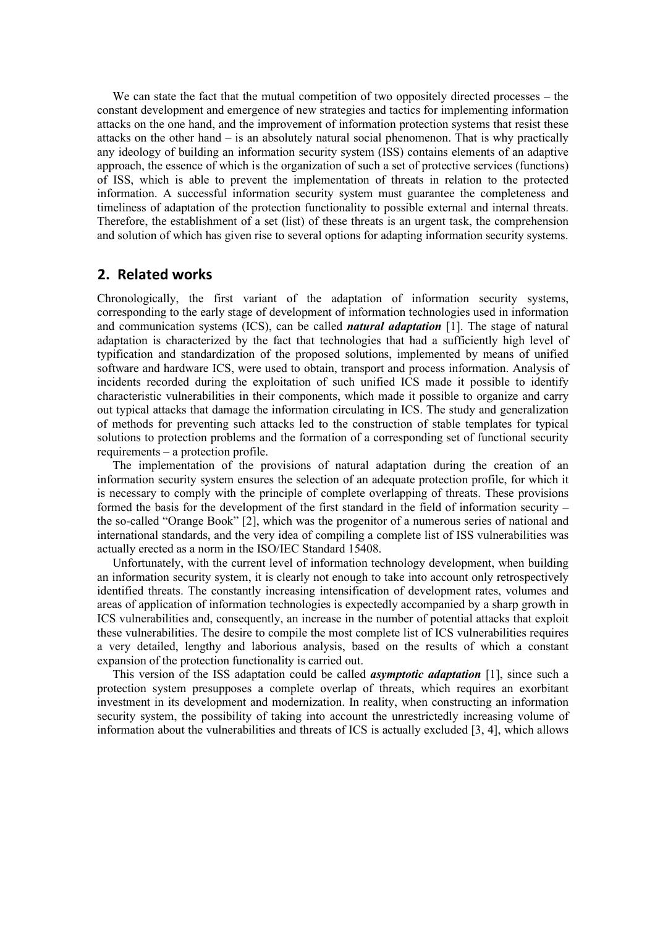We can state the fact that the mutual competition of two oppositely directed processes – the constant development and emergence of new strategies and tactics for implementing information attacks on the one hand, and the improvement of information protection systems that resist these attacks on the other hand – is an absolutely natural social phenomenon. That is why practically any ideology of building an information security system (ISS) contains elements of an adaptive approach, the essence of which is the organization of such a set of protective services (functions) of ISS, which is able to prevent the implementation of threats in relation to the protected information. A successful information security system must guarantee the completeness and timeliness of adaptation of the protection functionality to possible external and internal threats. Therefore, the establishment of a set (list) of these threats is an urgent task, the comprehension and solution of which has given rise to several options for adapting information security systems.

#### **2. Related works**

Chronologically, the first variant of the adaptation of information security systems, corresponding to the early stage of development of information technologies used in information and communication systems (ICS), can be called *natural adaptation* [1]. The stage of natural adaptation is characterized by the fact that technologies that had a sufficiently high level of typification and standardization of the proposed solutions, implemented by means of unified software and hardware ICS, were used to obtain, transport and process information. Analysis of incidents recorded during the exploitation of such unified ICS made it possible to identify characteristic vulnerabilities in their components, which made it possible to organize and carry out typical attacks that damage the information circulating in ICS. The study and generalization of methods for preventing such attacks led to the construction of stable templates for typical solutions to protection problems and the formation of a corresponding set of functional security requirements – a protection profile.

The implementation of the provisions of natural adaptation during the creation of an information security system ensures the selection of an adequate protection profile, for which it is necessary to comply with the principle of complete overlapping of threats. These provisions formed the basis for the development of the first standard in the field of information security – the so-called "Orange Book" [2], which was the progenitor of a numerous series of national and international standards, and the very idea of compiling a complete list of ISS vulnerabilities was actually erected as a norm in the ISO/IEC Standard 15408.

Unfortunately, with the current level of information technology development, when building an information security system, it is clearly not enough to take into account only retrospectively identified threats. The constantly increasing intensification of development rates, volumes and areas of application of information technologies is expectedly accompanied by a sharp growth in ICS vulnerabilities and, consequently, an increase in the number of potential attacks that exploit these vulnerabilities. The desire to compile the most complete list of ICS vulnerabilities requires a very detailed, lengthy and laborious analysis, based on the results of which a constant expansion of the protection functionality is carried out.

This version of the ISS adaptation could be called *asymptotic adaptation* [1], since such a protection system presupposes a complete overlap of threats, which requires an exorbitant investment in its development and modernization. In reality, when constructing an information security system, the possibility of taking into account the unrestrictedly increasing volume of information about the vulnerabilities and threats of ICS is actually excluded [3, 4], which allows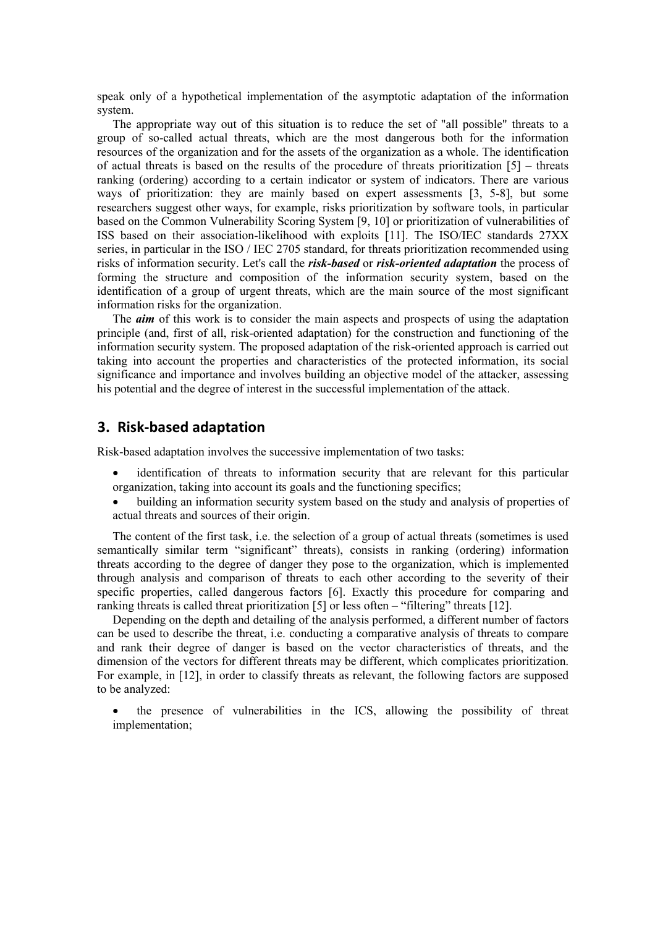speak only of a hypothetical implementation of the asymptotic adaptation of the information system.

The appropriate way out of this situation is to reduce the set of "all possible" threats to a group of so-called actual threats, which are the most dangerous both for the information resources of the organization and for the assets of the organization as a whole. The identification of actual threats is based on the results of the procedure of threats prioritization  $[5]$  – threats ranking (ordering) according to a certain indicator or system of indicators. There are various ways of prioritization: they are mainly based on expert assessments [3, 5-8], but some researchers suggest other ways, for example, risks prioritization by software tools, in particular based on the Common Vulnerability Scoring System [9, 10] or prioritization of vulnerabilities of ISS based on their association-likelihood with exploits [11]. The ISO/IEC standards 27XX series, in particular in the ISO / IEC 2705 standard, for threats prioritization recommended using risks of information security. Let's call the *risk-based* or *risk-oriented adaptation* the process of forming the structure and composition of the information security system, based on the identification of a group of urgent threats, which are the main source of the most significant information risks for the organization.

The *aim* of this work is to consider the main aspects and prospects of using the adaptation principle (and, first of all, risk-oriented adaptation) for the construction and functioning of the information security system. The proposed adaptation of the risk-oriented approach is carried out taking into account the properties and characteristics of the protected information, its social significance and importance and involves building an objective model of the attacker, assessing his potential and the degree of interest in the successful implementation of the attack.

#### **3. Risk-based adaptation**

Risk-based adaptation involves the successive implementation of two tasks:

- identification of threats to information security that are relevant for this particular organization, taking into account its goals and the functioning specifics;
- building an information security system based on the study and analysis of properties of actual threats and sources of their origin.

The content of the first task, i.e. the selection of a group of actual threats (sometimes is used semantically similar term "significant" threats), consists in ranking (ordering) information threats according to the degree of danger they pose to the organization, which is implemented through analysis and comparison of threats to each other according to the severity of their specific properties, called dangerous factors [6]. Exactly this procedure for comparing and ranking threats is called threat prioritization [5] or less often – "filtering" threats [12].

Depending on the depth and detailing of the analysis performed, a different number of factors can be used to describe the threat, i.e. conducting a comparative analysis of threats to compare and rank their degree of danger is based on the vector characteristics of threats, and the dimension of the vectors for different threats may be different, which complicates prioritization. For example, in [12], in order to classify threats as relevant, the following factors are supposed to be analyzed:

• the presence of vulnerabilities in the ICS, allowing the possibility of threat implementation;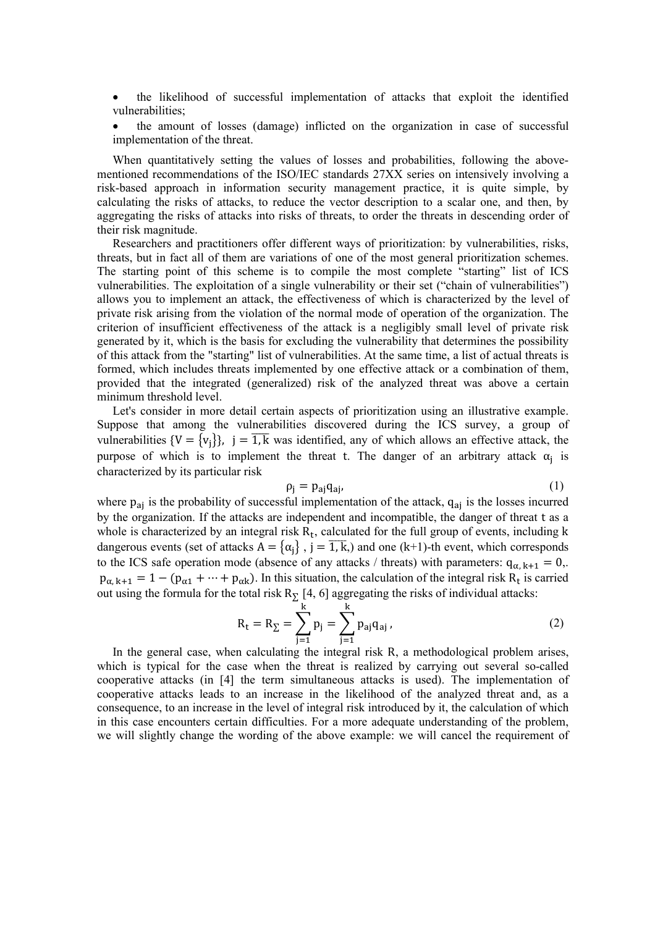• the likelihood of successful implementation of attacks that exploit the identified vulnerabilities;

• the amount of losses (damage) inflicted on the organization in case of successful implementation of the threat.

When quantitatively setting the values of losses and probabilities, following the abovementioned recommendations of the ISO/IEC standards 27XX series on intensively involving a risk-based approach in information security management practice, it is quite simple, by calculating the risks of attacks, to reduce the vector description to a scalar one, and then, by aggregating the risks of attacks into risks of threats, to order the threats in descending order of their risk magnitude.

Researchers and practitioners offer different ways of prioritization: by vulnerabilities, risks, threats, but in fact all of them are variations of one of the most general prioritization schemes. The starting point of this scheme is to compile the most complete "starting" list of ICS vulnerabilities. The exploitation of a single vulnerability or their set ("chain of vulnerabilities") allows you to implement an attack, the effectiveness of which is characterized by the level of private risk arising from the violation of the normal mode of operation of the organization. The criterion of insufficient effectiveness of the attack is a negligibly small level of private risk generated by it, which is the basis for excluding the vulnerability that determines the possibility of this attack from the "starting" list of vulnerabilities. At the same time, a list of actual threats is formed, which includes threats implemented by one effective attack or a combination of them, provided that the integrated (generalized) risk of the analyzed threat was above a certain minimum threshold level.

Let's consider in more detail certain aspects of prioritization using an illustrative example. Suppose that among the vulnerabilities discovered during the ICS survey, a group of vulnerabilities  $\{V = \{v_j\}\}\$ ,  $j = 1$ , k was identified, any of which allows an effective attack, the purpose of which is to implement the threat t. The danger of an arbitrary attack  $\alpha_i$  is characterized by its particular risk

$$
\rho_j = p_{aj} q_{aj}, \tag{1}
$$

where  $p_{aj}$  is the probability of successful implementation of the attack,  $q_{aj}$  is the losses incurred by the organization. If the attacks are independent and incompatible, the danger of threat t as a whole is characterized by an integral risk  $R_t$ , calculated for the full group of events, including k dangerous events (set of attacks  $A = {\alpha_j}$ ,  $j = 1, k$ ,) and one (k+1)-th event, which corresponds to the ICS safe operation mode (absence of any attacks / threats) with parameters:  $q_{\alpha, k+1} = 0$ ,.  $p_{\alpha, k+1} = 1 - (p_{\alpha 1} + \cdots + p_{\alpha k})$ . In this situation, the calculation of the integral risk  $R_t$  is carried out using the formula for the total risk  $R_{\Sigma}$  [4, 6] aggregating the risks of individual attacks:

$$
R_{t} = R_{\Sigma} = \sum_{j=1}^{k} p_{j} = \sum_{j=1}^{k} p_{aj} q_{aj},
$$
 (2)

In the general case, when calculating the integral risk R, a methodological problem arises, which is typical for the case when the threat is realized by carrying out several so-called cooperative attacks (in [4] the term simultaneous attacks is used). The implementation of cooperative attacks leads to an increase in the likelihood of the analyzed threat and, as a consequence, to an increase in the level of integral risk introduced by it, the calculation of which in this case encounters certain difficulties. For a more adequate understanding of the problem, we will slightly change the wording of the above example: we will cancel the requirement of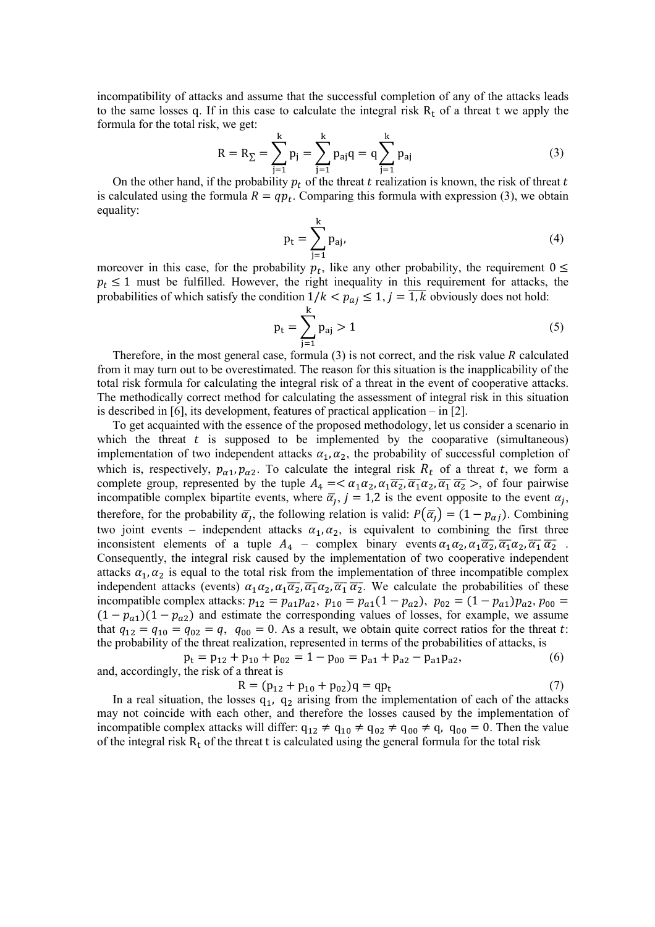incompatibility of attacks and assume that the successful completion of any of the attacks leads to the same losses q. If in this case to calculate the integral risk  $R_t$  of a threat t we apply the formula for the total risk, we get:

$$
R = R_{\Sigma} = \sum_{j=1}^{k} p_{j} = \sum_{j=1}^{k} p_{aj}q = q \sum_{j=1}^{k} p_{aj}
$$
(3)

On the other hand, if the probability  $p_t$  of the threat t realization is known, the risk of threat t is calculated using the formula  $R = qp_t$ . Comparing this formula with expression (3), we obtain equality:

$$
p_{t} = \sum_{j=1}^{K} p_{aj},
$$
 (4)

moreover in this case, for the probability  $p_t$ , like any other probability, the requirement  $0 \le$  $p_t \leq 1$  must be fulfilled. However, the right inequality in this requirement for attacks, the probabilities of which satisfy the condition  $1/k < p_{aj} \le 1$ ,  $j = 1, k$  obviously does not hold:

$$
p_t = \sum_{j=1}^{k} p_{aj} > 1
$$
 (5)

Therefore, in the most general case, formula (3) is not correct, and the risk value  $R$  calculated from it may turn out to be overestimated. The reason for this situation is the inapplicability of the total risk formula for calculating the integral risk of a threat in the event of cooperative attacks. The methodically correct method for calculating the assessment of integral risk in this situation is described in [6], its development, features of practical application – in [2].

To get acquainted with the essence of the proposed methodology, let us consider a scenario in which the threat  $t$  is supposed to be implemented by the cooparative (simultaneous) implementation of two independent attacks  $\alpha_1, \alpha_2$ , the probability of successful completion of which is, respectively,  $p_{\alpha 1}$ ,  $p_{\alpha 2}$ . To calculate the integral risk  $R_t$  of a threat t, we form a complete group, represented by the tuple  $A_4 = \langle \alpha_1 \alpha_2, \alpha_1 \overline{\alpha_2}, \overline{\alpha_1} \alpha_2, \overline{\alpha_1} \overline{\alpha_2} \rangle$ , of four pairwise incompatible complex bipartite events, where  $\bar{\alpha}_j$ ,  $j = 1,2$  is the event opposite to the event  $\alpha_j$ , therefore, for the probability  $\bar{\alpha}_j$ , the following relation is valid:  $P(\bar{\alpha}_j) = (1 - p_{\alpha j})$ . Combining two joint events – independent attacks  $\alpha_1, \alpha_2$ , is equivalent to combining the first three inconsistent elements of a tuple  $A_4$  – complex binary events  $\alpha_1\alpha_2, \alpha_1\overline{\alpha_2}, \overline{\alpha_1}\alpha_2, \overline{\alpha_1}\overline{\alpha_2}$ . Consequently, the integral risk caused by the implementation of two cooperative independent attacks  $\alpha_1, \alpha_2$  is equal to the total risk from the implementation of three incompatible complex independent attacks (events)  $\alpha_1\alpha_2, \alpha_1\overline{\alpha_2}, \overline{\alpha_1}\alpha_2, \overline{\alpha_1}\overline{\alpha_2}$ . We calculate the probabilities of these incompatible complex attacks:  $p_{12} = p_{a1}p_{a2}, p_{10} = p_{a1}(1 - p_{a2}), p_{02} = (1 - p_{a1})p_{a2}, p_{00} =$  $(1 - p_{a1})(1 - p_{a2})$  and estimate the corresponding values of losses, for example, we assume that  $q_{12} = q_{10} = q_{02} = q$ ,  $q_{00} = 0$ . As a result, we obtain quite correct ratios for the threat t: the probability of the threat realization, represented in terms of the probabilities of attacks, is

 $p_t = p_{12} + p_{10} + p_{02} = 1 - p_{00} = p_{a1} + p_{a2} - p_{a1}p_{a2},$  (6) and, accordingly, the risk of a threat is

$$
R = (p_{12} + p_{10} + p_{02})q = qp_t
$$
 (7)

In a real situation, the losses  $q_1$ ,  $q_2$  arising from the implementation of each of the attacks may not coincide with each other, and therefore the losses caused by the implementation of incompatible complex attacks will differ:  $q_{12} \neq q_{10} \neq q_{02} \neq q_{00} \neq q$ ,  $q_{00} = 0$ . Then the value of the integral risk  $R_t$  of the threat t is calculated using the general formula for the total risk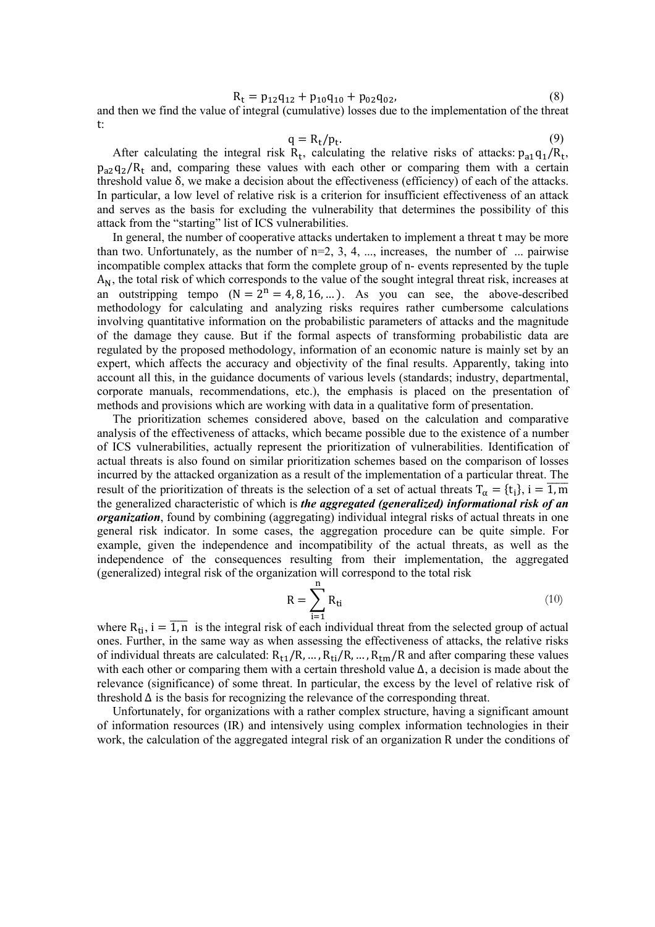$$
R_t = p_{12}q_{12} + p_{10}q_{10} + p_{02}q_{02},
$$
\n(8)

and then we find the value of integral (cumulative) losses due to the implementation of the threat t:

$$
q = R_t / p_t.
$$
\n(9)

After calculating the integral risk  $R_t$ , calculating the relative risks of attacks:  $p_{a1}q_1/R_t$ ,  $p_{a2}q_2/R_t$  and, comparing these values with each other or comparing them with a certain threshold value δ, we make a decision about the effectiveness (efficiency) of each of the attacks. In particular, a low level of relative risk is a criterion for insufficient effectiveness of an attack and serves as the basis for excluding the vulnerability that determines the possibility of this attack from the "starting" list of ICS vulnerabilities.

In general, the number of cooperative attacks undertaken to implement a threat t may be more than two. Unfortunately, as the number of  $n=2, 3, 4, \ldots$ , increases, the number of  $\ldots$  pairwise incompatible complex attacks that form the complete group of n- events represented by the tuple  $A_N$ , the total risk of which corresponds to the value of the sought integral threat risk, increases at an outstripping tempo  $(N = 2^n = 4, 8, 16, ...)$ . As you can see, the above-described methodology for calculating and analyzing risks requires rather cumbersome calculations involving quantitative information on the probabilistic parameters of attacks and the magnitude of the damage they cause. But if the formal aspects of transforming probabilistic data are regulated by the proposed methodology, information of an economic nature is mainly set by an expert, which affects the accuracy and objectivity of the final results. Apparently, taking into account all this, in the guidance documents of various levels (standards; industry, departmental, corporate manuals, recommendations, etc.), the emphasis is placed on the presentation of methods and provisions which are working with data in a qualitative form of presentation.

The prioritization schemes considered above, based on the calculation and comparative analysis of the effectiveness of attacks, which became possible due to the existence of a number of ICS vulnerabilities, actually represent the prioritization of vulnerabilities. Identification of actual threats is also found on similar prioritization schemes based on the comparison of losses incurred by the attacked organization as a result of the implementation of a particular threat. The result of the prioritization of threats is the selection of a set of actual threats  $T_\alpha = \{t_i\}$ ,  $i = 1$ , m the generalized characteristic of which is *the aggregated (generalized) informational risk of an organization*, found by combining (aggregating) individual integral risks of actual threats in one general risk indicator. In some cases, the aggregation procedure can be quite simple. For example, given the independence and incompatibility of the actual threats, as well as the independence of the consequences resulting from their implementation, the aggregated (generalized) integral risk of the organization will correspond to the total risk

$$
R = \sum_{i=1}^{n} R_{ti} \tag{10}
$$

where  $R_{ti}$ ,  $i = \overline{1,n}$  is the integral risk of each individual threat from the selected group of actual ones. Further, in the same way as when assessing the effectiveness of attacks, the relative risks of individual threats are calculated:  $R_{t1}/R$ , ...,  $R_{ti}/R$ , ...,  $R_{tm}/R$  and after comparing these values with each other or comparing them with a certain threshold value ∆, a decision is made about the relevance (significance) of some threat. In particular, the excess by the level of relative risk of threshold  $\Delta$  is the basis for recognizing the relevance of the corresponding threat.

Unfortunately, for organizations with a rather complex structure, having a significant amount of information resources (IR) and intensively using complex information technologies in their work, the calculation of the aggregated integral risk of an organization R under the conditions of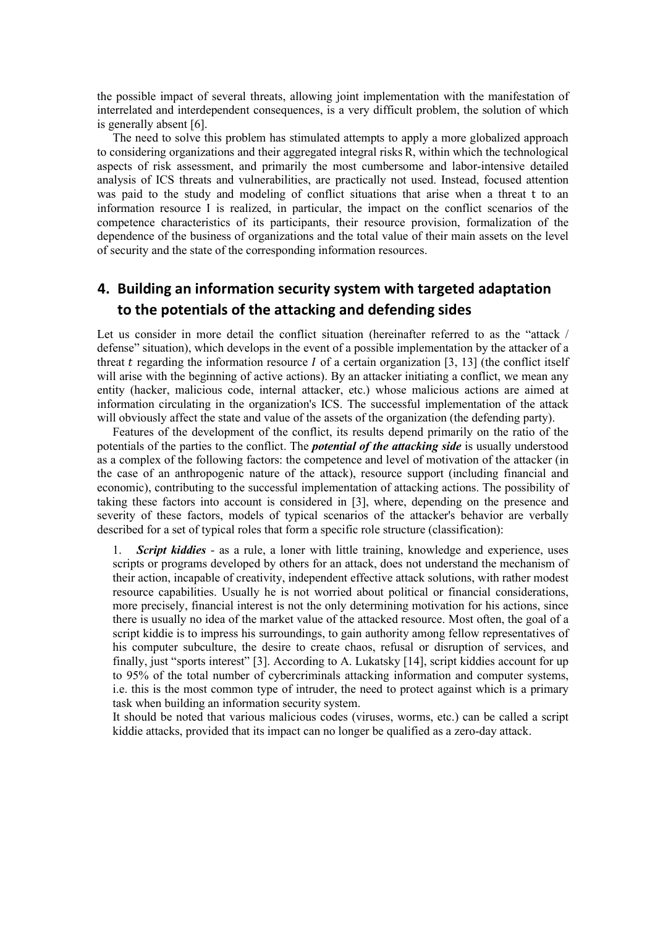the possible impact of several threats, allowing joint implementation with the manifestation of interrelated and interdependent consequences, is a very difficult problem, the solution of which is generally absent [6].

The need to solve this problem has stimulated attempts to apply a more globalized approach to considering organizations and their aggregated integral risks R, within which the technological aspects of risk assessment, and primarily the most cumbersome and labor-intensive detailed analysis of ICS threats and vulnerabilities, are practically not used. Instead, focused attention was paid to the study and modeling of conflict situations that arise when a threat t to an information resource I is realized, in particular, the impact on the conflict scenarios of the competence characteristics of its participants, their resource provision, formalization of the dependence of the business of organizations and the total value of their main assets on the level of security and the state of the corresponding information resources.

## **4. Building an information security system with targeted adaptation to the potentials of the attacking and defending sides**

Let us consider in more detail the conflict situation (hereinafter referred to as the "attack / defense" situation), which develops in the event of a possible implementation by the attacker of a threat t regarding the information resource  $I$  of a certain organization [3, 13] (the conflict itself will arise with the beginning of active actions). By an attacker initiating a conflict, we mean any entity (hacker, malicious code, internal attacker, etc.) whose malicious actions are aimed at information circulating in the organization's ICS. The successful implementation of the attack will obviously affect the state and value of the assets of the organization (the defending party).

Features of the development of the conflict, its results depend primarily on the ratio of the potentials of the parties to the conflict. The *potential of the attacking side* is usually understood as a complex of the following factors: the competence and level of motivation of the attacker (in the case of an anthropogenic nature of the attack), resource support (including financial and economic), contributing to the successful implementation of attacking actions. The possibility of taking these factors into account is considered in [3], where, depending on the presence and severity of these factors, models of typical scenarios of the attacker's behavior are verbally described for a set of typical roles that form a specific role structure (classification):

1. *Script kiddies* - as a rule, a loner with little training, knowledge and experience, uses scripts or programs developed by others for an attack, does not understand the mechanism of their action, incapable of creativity, independent effective attack solutions, with rather modest resource capabilities. Usually he is not worried about political or financial considerations, more precisely, financial interest is not the only determining motivation for his actions, since there is usually no idea of the market value of the attacked resource. Most often, the goal of a script kiddie is to impress his surroundings, to gain authority among fellow representatives of his computer subculture, the desire to create chaos, refusal or disruption of services, and finally, just "sports interest" [3]. According to A. Lukatsky [14], script kiddies account for up to 95% of the total number of cybercriminals attacking information and computer systems, i.e. this is the most common type of intruder, the need to protect against which is a primary task when building an information security system.

It should be noted that various malicious codes (viruses, worms, etc.) can be called a script kiddie attacks, provided that its impact can no longer be qualified as a zero-day attack.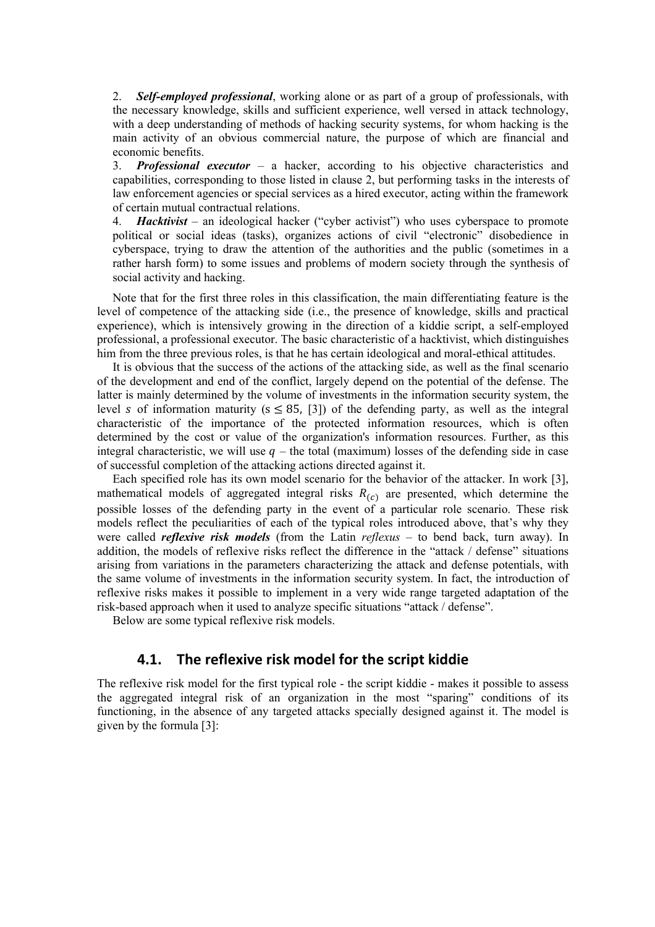2. *Self-employed professional*, working alone or as part of a group of professionals, with the necessary knowledge, skills and sufficient experience, well versed in attack technology, with a deep understanding of methods of hacking security systems, for whom hacking is the main activity of an obvious commercial nature, the purpose of which are financial and economic benefits.

3. *Professional executor* – a hacker, according to his objective characteristics and capabilities, corresponding to those listed in clause 2, but performing tasks in the interests of law enforcement agencies or special services as a hired executor, acting within the framework of certain mutual contractual relations.

4. *Hacktivist* – an ideological hacker ("cyber activist") who uses cyberspace to promote political or social ideas (tasks), organizes actions of civil "electronic" disobedience in cyberspace, trying to draw the attention of the authorities and the public (sometimes in a rather harsh form) to some issues and problems of modern society through the synthesis of social activity and hacking.

Note that for the first three roles in this classification, the main differentiating feature is the level of competence of the attacking side (i.e., the presence of knowledge, skills and practical experience), which is intensively growing in the direction of a kiddie script, a self-employed professional, a professional executor. The basic characteristic of a hacktivist, which distinguishes him from the three previous roles, is that he has certain ideological and moral-ethical attitudes.

It is obvious that the success of the actions of the attacking side, as well as the final scenario of the development and end of the conflict, largely depend on the potential of the defense. The latter is mainly determined by the volume of investments in the information security system, the level *s* of information maturity ( $s \leq 85$ , [3]) of the defending party, as well as the integral characteristic of the importance of the protected information resources, which is often determined by the cost or value of the organization's information resources. Further, as this integral characteristic, we will use  $q$  – the total (maximum) losses of the defending side in case of successful completion of the attacking actions directed against it.

Each specified role has its own model scenario for the behavior of the attacker. In work [3], mathematical models of aggregated integral risks  $R_{(c)}$  are presented, which determine the possible losses of the defending party in the event of a particular role scenario. These risk models reflect the peculiarities of each of the typical roles introduced above, that's why they were called *reflexive risk models* (from the Latin *reflexus* – to bend back, turn away). In addition, the models of reflexive risks reflect the difference in the "attack / defense" situations arising from variations in the parameters characterizing the attack and defense potentials, with the same volume of investments in the information security system. In fact, the introduction of reflexive risks makes it possible to implement in a very wide range targeted adaptation of the risk-based approach when it used to analyze specific situations "attack / defense".

Below are some typical reflexive risk models.

## **4.1. The reflexive risk model for the script kiddie**

The reflexive risk model for the first typical role - the script kiddie - makes it possible to assess the aggregated integral risk of an organization in the most "sparing" conditions of its functioning, in the absence of any targeted attacks specially designed against it. The model is given by the formula [3]: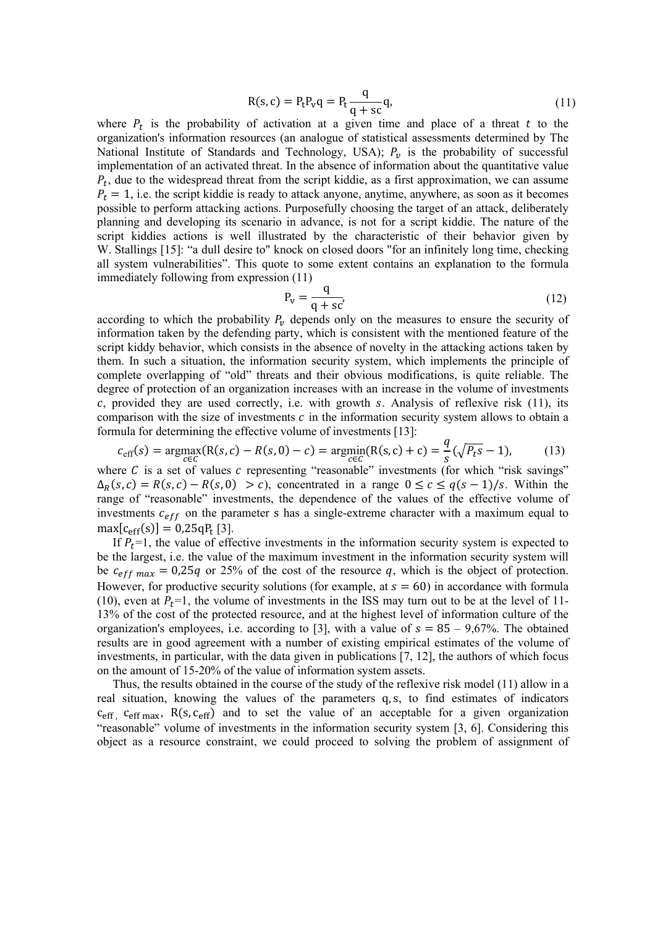$$
R(s,c) = P_t P_v q = P_t \frac{q}{q + sc} q,
$$
\n(11)

where  $P_t$  is the probability of activation at a given time and place of a threat  $t$  to the organization's information resources (an analogue of statistical assessments determined by The National Institute of Standards and Technology, USA);  $P_v$  is the probability of successful implementation of an activated threat. In the absence of information about the quantitative value  $P_t$ , due to the widespread threat from the script kiddie, as a first approximation, we can assume  $P_t = 1$ , i.e. the script kiddie is ready to attack anyone, anytime, anywhere, as soon as it becomes possible to perform attacking actions. Purposefully choosing the target of an attack, deliberately planning and developing its scenario in advance, is not for a script kiddie. The nature of the script kiddies actions is well illustrated by the characteristic of their behavior given by W. Stallings [15]: "a dull desire to" knock on closed doors "for an infinitely long time, checking all system vulnerabilities". This quote to some extent contains an explanation to the formula immediately following from expression (11)

$$
P_v = \frac{q}{q + sc'}\tag{12}
$$

according to which the probability  $P_v$  depends only on the measures to ensure the security of information taken by the defending party, which is consistent with the mentioned feature of the script kiddy behavior, which consists in the absence of novelty in the attacking actions taken by them. In such a situation, the information security system, which implements the principle of complete overlapping of "old" threats and their obvious modifications, is quite reliable. The degree of protection of an organization increases with an increase in the volume of investments  $c$ , provided they are used correctly, i.e. with growth  $s$ . Analysis of reflexive risk (11), its comparison with the size of investments  $c$  in the information security system allows to obtain a formula for determining the effective volume of investments [13]:

$$
c_{\text{eff}}(s) = \underset{c \in C}{\text{argmax}}(R(s, c) - R(s, 0) - c) = \underset{c \in C}{\text{argmin}}(R(s, c) + c) = \frac{q}{s}(\sqrt{P_t s} - 1),\tag{13}
$$

where  $C$  is a set of values  $c$  representing "reasonable" investments (for which "risk savings"  $\Delta_R(s, c) = R(s, c) - R(s, 0) > c$ , concentrated in a range  $0 \le c \le q(s - 1)/s$ . Within the range of "reasonable" investments, the dependence of the values of the effective volume of investments  $c_{eff}$  on the parameter s has a single-extreme character with a maximum equal to  $max[c_{\text{eff}}(s)] = 0.25qP_t$  [3].

If  $P_t$ =1, the value of effective investments in the information security system is expected to be the largest, i.e. the value of the maximum investment in the information security system will be  $c_{eff \, max} = 0.25q$  or 25% of the cost of the resource q, which is the object of protection. However, for productive security solutions (for example, at  $s = 60$ ) in accordance with formula (10), even at  $P_t$ =1, the volume of investments in the ISS may turn out to be at the level of 11-13% of the cost of the protected resource, and at the highest level of information culture of the organization's employees, i.e. according to [3], with a value of  $s = 85 - 9{,}67\%$ . The obtained results are in good agreement with a number of existing empirical estimates of the volume of investments, in particular, with the data given in publications [7, 12], the authors of which focus on the amount of 15-20% of the value of information system assets.

Thus, the results obtained in the course of the study of the reflexive risk model (11) allow in a real situation, knowing the values of the parameters q, s, to find estimates of indicators  $c_{\text{eff}}$ ,  $c_{\text{eff max}}$ ,  $R(s, c_{\text{eff}})$  and to set the value of an acceptable for a given organization "reasonable" volume of investments in the information security system [3, 6]. Considering this object as a resource constraint, we could proceed to solving the problem of assignment of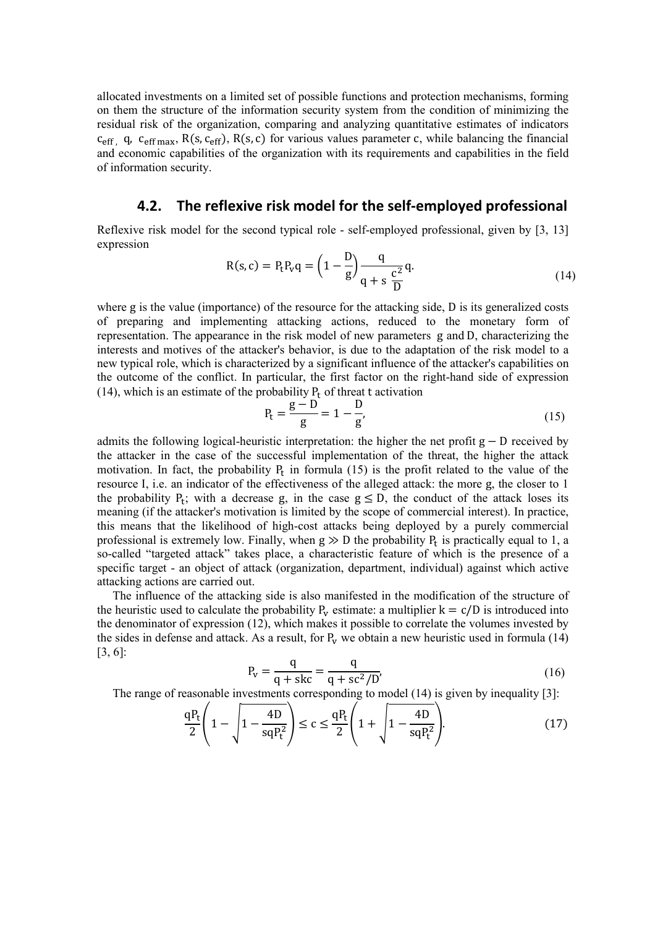allocated investments on a limited set of possible functions and protection mechanisms, forming on them the structure of the information security system from the condition of minimizing the residual risk of the organization, comparing and analyzing quantitative estimates of indicators  $c_{\text{eff}}$ , q,  $c_{\text{eff}}$  max, R(s, c<sub>eff</sub>), R(s, c) for various values parameter c, while balancing the financial and economic capabilities of the organization with its requirements and capabilities in the field of information security.

#### **4.2. The reflexive risk model for the self-employed professional**

Reflexive risk model for the second typical role - self-employed professional, given by [3, 13] expression

$$
R(s, c) = P_t P_v q = \left(1 - \frac{D}{g}\right) \frac{q}{q + s \frac{c^2}{D}} q.
$$
\n(14)

where g is the value (importance) of the resource for the attacking side, D is its generalized costs of preparing and implementing attacking actions, reduced to the monetary form of representation. The appearance in the risk model of new parameters g and D, characterizing the interests and motives of the attacker's behavior, is due to the adaptation of the risk model to a new typical role, which is characterized by a significant influence of the attacker's capabilities on the outcome of the conflict. In particular, the first factor on the right-hand side of expression (14), which is an estimate of the probability  $P_t$  of threat t activation

$$
P_t = \frac{g - D}{g} = 1 - \frac{D}{g'},
$$
\n(15)

admits the following logical-heuristic interpretation: the higher the net profit  $g - D$  received by the attacker in the case of the successful implementation of the threat, the higher the attack motivation. In fact, the probability  $P_t$  in formula (15) is the profit related to the value of the resource I, i.e. an indicator of the effectiveness of the alleged attack: the more g, the closer to 1 the probability  $P_t$ ; with a decrease g, in the case  $g \le D$ , the conduct of the attack loses its meaning (if the attacker's motivation is limited by the scope of commercial interest). In practice, this means that the likelihood of high-cost attacks being deployed by a purely commercial professional is extremely low. Finally, when  $g \gg D$  the probability  $P_t$  is practically equal to 1, a so-called "targeted attack" takes place, a characteristic feature of which is the presence of a specific target - an object of attack (organization, department, individual) against which active attacking actions are carried out.

The influence of the attacking side is also manifested in the modification of the structure of the heuristic used to calculate the probability  $P_v$  estimate: a multiplier  $k = c/D$  is introduced into the denominator of expression (12), which makes it possible to correlate the volumes invested by the sides in defense and attack. As a result, for  $P_v$  we obtain a new heuristic used in formula (14) [3, 6]:

$$
P_v = \frac{q}{q + skc} = \frac{q}{q + sc^2/D'},\tag{16}
$$

The range of reasonable investments corresponding to model (14) is given by inequality [3]:

$$
\frac{qP_t}{2} \left( 1 - \sqrt{1 - \frac{4D}{sqP_t^2}} \right) \le c \le \frac{qP_t}{2} \left( 1 + \sqrt{1 - \frac{4D}{sqP_t^2}} \right).
$$
(17)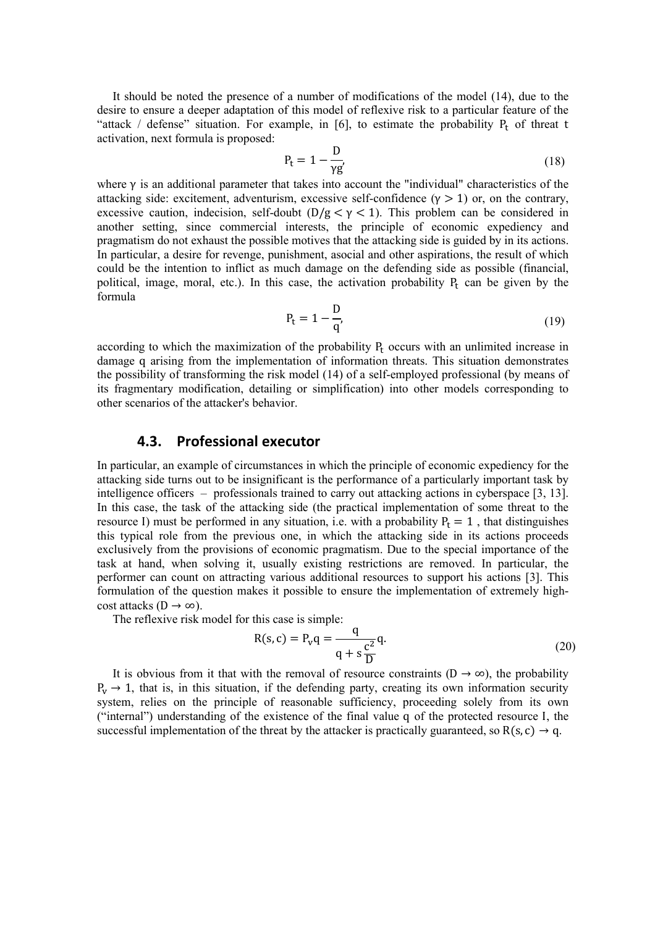It should be noted the presence of a number of modifications of the model (14), due to the desire to ensure a deeper adaptation of this model of reflexive risk to a particular feature of the "attack / defense" situation. For example, in [6], to estimate the probability  $P_t$  of threat t activation, next formula is proposed:

$$
P_t = 1 - \frac{D}{\gamma g'}\tag{18}
$$

where  $\gamma$  is an additional parameter that takes into account the "individual" characteristics of the attacking side: excitement, adventurism, excessive self-confidence  $(\gamma > 1)$  or, on the contrary, excessive caution, indecision, self-doubt  $(D/g < \gamma < 1)$ . This problem can be considered in another setting, since commercial interests, the principle of economic expediency and pragmatism do not exhaust the possible motives that the attacking side is guided by in its actions. In particular, a desire for revenge, punishment, asocial and other aspirations, the result of which could be the intention to inflict as much damage on the defending side as possible (financial, political, image, moral, etc.). In this case, the activation probability  $P_t$  can be given by the formula

$$
P_t = 1 - \frac{D}{q'},\tag{19}
$$

according to which the maximization of the probability  $P_t$  occurs with an unlimited increase in damage q arising from the implementation of information threats. This situation demonstrates the possibility of transforming the risk model (14) of a self-employed professional (by means of its fragmentary modification, detailing or simplification) into other models corresponding to other scenarios of the attacker's behavior.

#### **4.3. Professional executor**

In particular, an example of circumstances in which the principle of economic expediency for the attacking side turns out to be insignificant is the performance of a particularly important task by intelligence officers – professionals trained to carry out attacking actions in cyberspace [3, 13]. In this case, the task of the attacking side (the practical implementation of some threat to the resource I) must be performed in any situation, i.e. with a probability  $P_t = 1$ , that distinguishes this typical role from the previous one, in which the attacking side in its actions proceeds exclusively from the provisions of economic pragmatism. Due to the special importance of the task at hand, when solving it, usually existing restrictions are removed. In particular, the performer can count on attracting various additional resources to support his actions [3]. This formulation of the question makes it possible to ensure the implementation of extremely highcost attacks ( $D \rightarrow \infty$ ).

The reflexive risk model for this case is simple:

$$
R(s,c) = P_v q = \frac{q}{q + s\frac{c^2}{D}} q.
$$
\n
$$
(20)
$$

It is obvious from it that with the removal of resource constraints  $(D \rightarrow \infty)$ , the probability  $P_v \rightarrow 1$ , that is, in this situation, if the defending party, creating its own information security system, relies on the principle of reasonable sufficiency, proceeding solely from its own ("internal") understanding of the existence of the final value q of the protected resource I, the successful implementation of the threat by the attacker is practically guaranteed, so  $R(s, c) \rightarrow q$ .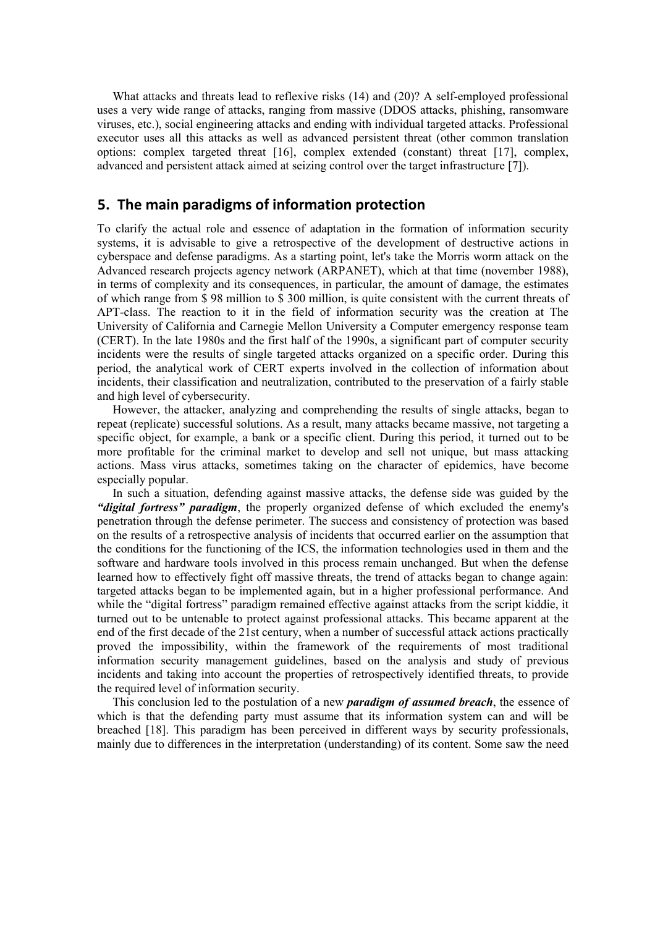What attacks and threats lead to reflexive risks (14) and (20)? A self-employed professional uses a very wide range of attacks, ranging from massive (DDOS attacks, phishing, ransomware viruses, etc.), social engineering attacks and ending with individual targeted attacks. Professional executor uses all this attacks as well as advanced persistent threat (other common translation options: complex targeted threat [16], complex extended (constant) threat [17], complex, advanced and persistent attack aimed at seizing control over the target infrastructure [7]).

#### **5. The main paradigms of information protection**

To clarify the actual role and essence of adaptation in the formation of information security systems, it is advisable to give a retrospective of the development of destructive actions in cyberspace and defense paradigms. As a starting point, let's take the Morris worm attack on the Advanced research projects agency network (ARPANET), which at that time (november 1988), in terms of complexity and its consequences, in particular, the amount of damage, the estimates of which range from \$ 98 million to \$ 300 million, is quite consistent with the current threats of APT-class. The reaction to it in the field of information security was the creation at The University of California and Carnegie Mellon University a Computer emergency response team (CERT). In the late 1980s and the first half of the 1990s, a significant part of computer security incidents were the results of single targeted attacks organized on a specific order. During this period, the analytical work of CERT experts involved in the collection of information about incidents, their classification and neutralization, contributed to the preservation of a fairly stable and high level of cybersecurity.

However, the attacker, analyzing and comprehending the results of single attacks, began to repeat (replicate) successful solutions. As a result, many attacks became massive, not targeting a specific object, for example, a bank or a specific client. During this period, it turned out to be more profitable for the criminal market to develop and sell not unique, but mass attacking actions. Mass virus attacks, sometimes taking on the character of epidemics, have become especially popular.

In such a situation, defending against massive attacks, the defense side was guided by the *"digital fortress" paradigm*, the properly organized defense of which excluded the enemy's penetration through the defense perimeter. The success and consistency of protection was based on the results of a retrospective analysis of incidents that occurred earlier on the assumption that the conditions for the functioning of the ICS, the information technologies used in them and the software and hardware tools involved in this process remain unchanged. But when the defense learned how to effectively fight off massive threats, the trend of attacks began to change again: targeted attacks began to be implemented again, but in a higher professional performance. And while the "digital fortress" paradigm remained effective against attacks from the script kiddie, it turned out to be untenable to protect against professional attacks. This became apparent at the end of the first decade of the 21st century, when a number of successful attack actions practically proved the impossibility, within the framework of the requirements of most traditional information security management guidelines, based on the analysis and study of previous incidents and taking into account the properties of retrospectively identified threats, to provide the required level of information security.

This conclusion led to the postulation of a new *paradigm of assumed breach*, the essence of which is that the defending party must assume that its information system can and will be breached [18]. This paradigm has been perceived in different ways by security professionals, mainly due to differences in the interpretation (understanding) of its content. Some saw the need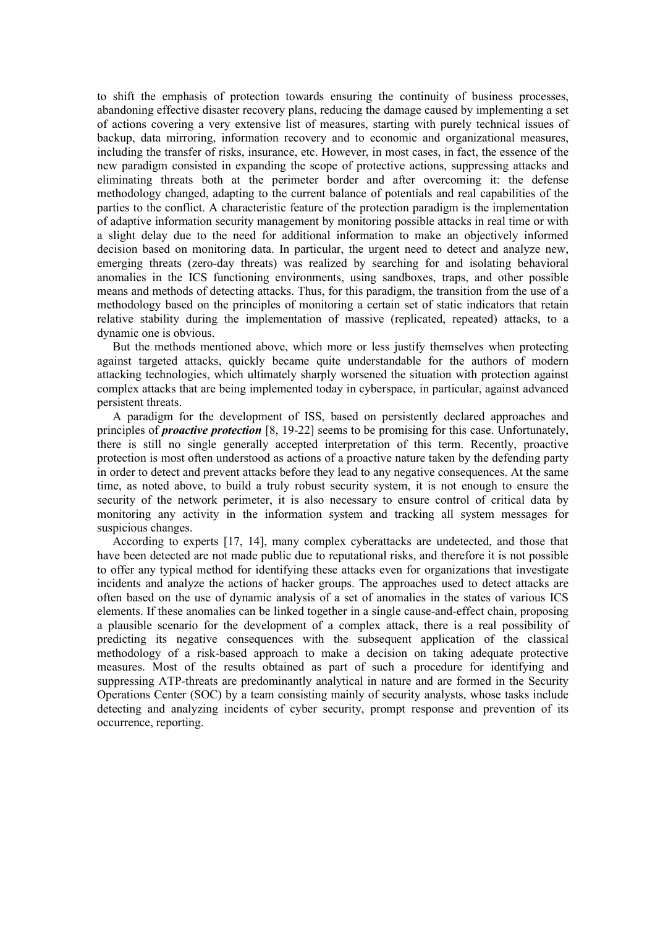to shift the emphasis of protection towards ensuring the continuity of business processes, abandoning effective disaster recovery plans, reducing the damage caused by implementing a set of actions covering a very extensive list of measures, starting with purely technical issues of backup, data mirroring, information recovery and to economic and organizational measures, including the transfer of risks, insurance, etc. However, in most cases, in fact, the essence of the new paradigm consisted in expanding the scope of protective actions, suppressing attacks and eliminating threats both at the perimeter border and after overcoming it: the defense methodology changed, adapting to the current balance of potentials and real capabilities of the parties to the conflict. A characteristic feature of the protection paradigm is the implementation of adaptive information security management by monitoring possible attacks in real time or with a slight delay due to the need for additional information to make an objectively informed decision based on monitoring data. In particular, the urgent need to detect and analyze new, emerging threats (zero-day threats) was realized by searching for and isolating behavioral anomalies in the ICS functioning environments, using sandboxes, traps, and other possible means and methods of detecting attacks. Thus, for this paradigm, the transition from the use of a methodology based on the principles of monitoring a certain set of static indicators that retain relative stability during the implementation of massive (replicated, repeated) attacks, to a dynamic one is obvious.

But the methods mentioned above, which more or less justify themselves when protecting against targeted attacks, quickly became quite understandable for the authors of modern attacking technologies, which ultimately sharply worsened the situation with protection against complex attacks that are being implemented today in cyberspace, in particular, against advanced persistent threats.

A paradigm for the development of ISS, based on persistently declared approaches and principles of *proactive protection* [8, 19-22] seems to be promising for this case. Unfortunately, there is still no single generally accepted interpretation of this term. Recently, proactive protection is most often understood as actions of a proactive nature taken by the defending party in order to detect and prevent attacks before they lead to any negative consequences. At the same time, as noted above, to build a truly robust security system, it is not enough to ensure the security of the network perimeter, it is also necessary to ensure control of critical data by monitoring any activity in the information system and tracking all system messages for suspicious changes.

According to experts [17, 14], many complex cyberattacks are undetected, and those that have been detected are not made public due to reputational risks, and therefore it is not possible to offer any typical method for identifying these attacks even for organizations that investigate incidents and analyze the actions of hacker groups. The approaches used to detect attacks are often based on the use of dynamic analysis of a set of anomalies in the states of various ICS elements. If these anomalies can be linked together in a single cause-and-effect chain, proposing a plausible scenario for the development of a complex attack, there is a real possibility of predicting its negative consequences with the subsequent application of the classical methodology of a risk-based approach to make a decision on taking adequate protective measures. Most of the results obtained as part of such a procedure for identifying and suppressing ATP-threats are predominantly analytical in nature and are formed in the Security Operations Center (SOC) by a team consisting mainly of security analysts, whose tasks include detecting and analyzing incidents of cyber security, prompt response and prevention of its occurrence, reporting.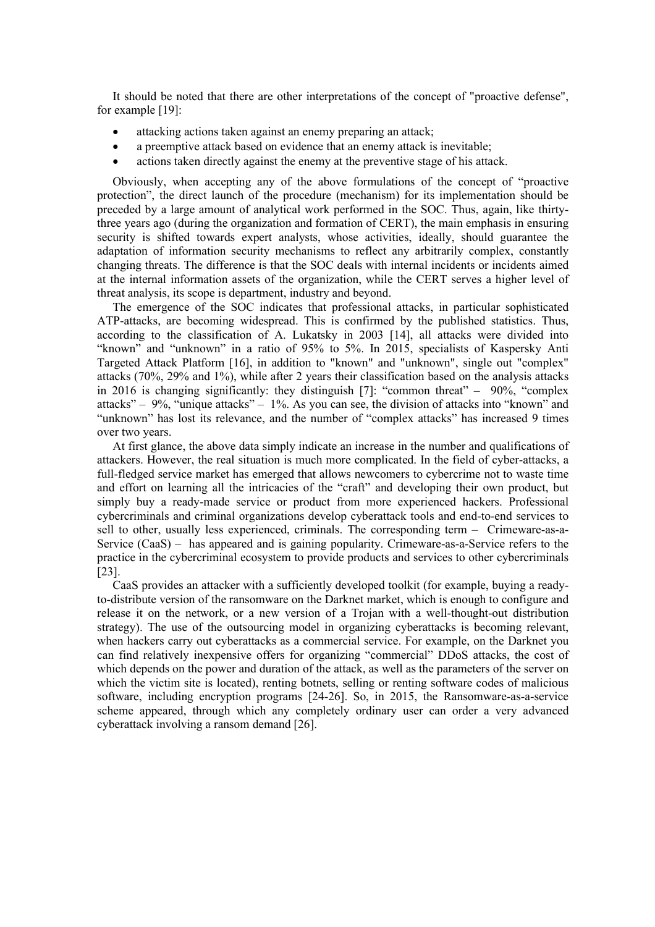It should be noted that there are other interpretations of the concept of "proactive defense", for example [19]:

- attacking actions taken against an enemy preparing an attack;
- a preemptive attack based on evidence that an enemy attack is inevitable;
- actions taken directly against the enemy at the preventive stage of his attack.

Obviously, when accepting any of the above formulations of the concept of "proactive protection", the direct launch of the procedure (mechanism) for its implementation should be preceded by a large amount of analytical work performed in the SOC. Thus, again, like thirtythree years ago (during the organization and formation of CERT), the main emphasis in ensuring security is shifted towards expert analysts, whose activities, ideally, should guarantee the adaptation of information security mechanisms to reflect any arbitrarily complex, constantly changing threats. The difference is that the SOC deals with internal incidents or incidents aimed at the internal information assets of the organization, while the CERT serves a higher level of threat analysis, its scope is department, industry and beyond.

The emergence of the SOC indicates that professional attacks, in particular sophisticated ATP-attacks, are becoming widespread. This is confirmed by the published statistics. Thus, according to the classification of A. Lukatsky in 2003 [14], all attacks were divided into "known" and "unknown" in a ratio of 95% to 5%. In 2015, specialists of Kaspersky Anti Targeted Attack Platform [16], in addition to "known" and "unknown", single out "complex" attacks (70%, 29% and 1%), while after 2 years their classification based on the analysis attacks in 2016 is changing significantly: they distinguish [7]: "common threat" – 90%, "complex attacks" – 9%, "unique attacks" – 1%. As you can see, the division of attacks into "known" and "unknown" has lost its relevance, and the number of "complex attacks" has increased 9 times over two years.

At first glance, the above data simply indicate an increase in the number and qualifications of attackers. However, the real situation is much more complicated. In the field of cyber-attacks, a full-fledged service market has emerged that allows newcomers to cybercrime not to waste time and effort on learning all the intricacies of the "craft" and developing their own product, but simply buy a ready-made service or product from more experienced hackers. Professional cybercriminals and criminal organizations develop cyberattack tools and end-to-end services to sell to other, usually less experienced, criminals. The corresponding term – Crimeware-as-a-Service (CaaS) – has appeared and is gaining popularity. Crimeware-as-a-Service refers to the practice in the cybercriminal ecosystem to provide products and services to other cybercriminals [23].

CaaS provides an attacker with a sufficiently developed toolkit (for example, buying a readyto-distribute version of the ransomware on the Darknet market, which is enough to configure and release it on the network, or a new version of a Trojan with a well-thought-out distribution strategy). The use of the outsourcing model in organizing cyberattacks is becoming relevant, when hackers carry out cyberattacks as a commercial service. For example, on the Darknet you can find relatively inexpensive offers for organizing "commercial" DDoS attacks, the cost of which depends on the power and duration of the attack, as well as the parameters of the server on which the victim site is located), renting botnets, selling or renting software codes of malicious software, including encryption programs [24-26]. So, in 2015, the Ransomware-as-a-service scheme appeared, through which any completely ordinary user can order a very advanced cyberattack involving a ransom demand [26].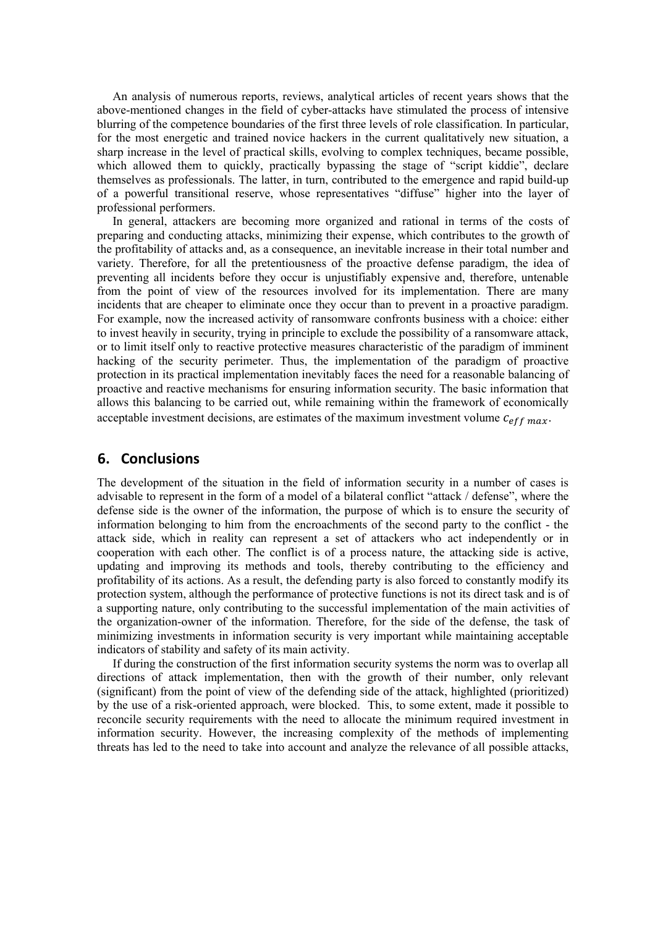An analysis of numerous reports, reviews, analytical articles of recent years shows that the above-mentioned changes in the field of cyber-attacks have stimulated the process of intensive blurring of the competence boundaries of the first three levels of role classification. In particular, for the most energetic and trained novice hackers in the current qualitatively new situation, a sharp increase in the level of practical skills, evolving to complex techniques, became possible, which allowed them to quickly, practically bypassing the stage of "script kiddie", declare themselves as professionals. The latter, in turn, contributed to the emergence and rapid build-up of a powerful transitional reserve, whose representatives "diffuse" higher into the layer of professional performers.

In general, attackers are becoming more organized and rational in terms of the costs of preparing and conducting attacks, minimizing their expense, which contributes to the growth of the profitability of attacks and, as a consequence, an inevitable increase in their total number and variety. Therefore, for all the pretentiousness of the proactive defense paradigm, the idea of preventing all incidents before they occur is unjustifiably expensive and, therefore, untenable from the point of view of the resources involved for its implementation. There are many incidents that are cheaper to eliminate once they occur than to prevent in a proactive paradigm. For example, now the increased activity of ransomware confronts business with a choice: either to invest heavily in security, trying in principle to exclude the possibility of a ransomware attack, or to limit itself only to reactive protective measures characteristic of the paradigm of imminent hacking of the security perimeter. Thus, the implementation of the paradigm of proactive protection in its practical implementation inevitably faces the need for a reasonable balancing of proactive and reactive mechanisms for ensuring information security. The basic information that allows this balancing to be carried out, while remaining within the framework of economically acceptable investment decisions, are estimates of the maximum investment volume  $c_{eff,max}$ .

#### **6. Conclusions**

The development of the situation in the field of information security in a number of cases is advisable to represent in the form of a model of a bilateral conflict "attack / defense", where the defense side is the owner of the information, the purpose of which is to ensure the security of information belonging to him from the encroachments of the second party to the conflict - the attack side, which in reality can represent a set of attackers who act independently or in cooperation with each other. The conflict is of a process nature, the attacking side is active, updating and improving its methods and tools, thereby contributing to the efficiency and profitability of its actions. As a result, the defending party is also forced to constantly modify its protection system, although the performance of protective functions is not its direct task and is of a supporting nature, only contributing to the successful implementation of the main activities of the organization-owner of the information. Therefore, for the side of the defense, the task of minimizing investments in information security is very important while maintaining acceptable indicators of stability and safety of its main activity.

If during the construction of the first information security systems the norm was to overlap all directions of attack implementation, then with the growth of their number, only relevant (significant) from the point of view of the defending side of the attack, highlighted (prioritized) by the use of a risk-oriented approach, were blocked. This, to some extent, made it possible to reconcile security requirements with the need to allocate the minimum required investment in information security. However, the increasing complexity of the methods of implementing threats has led to the need to take into account and analyze the relevance of all possible attacks,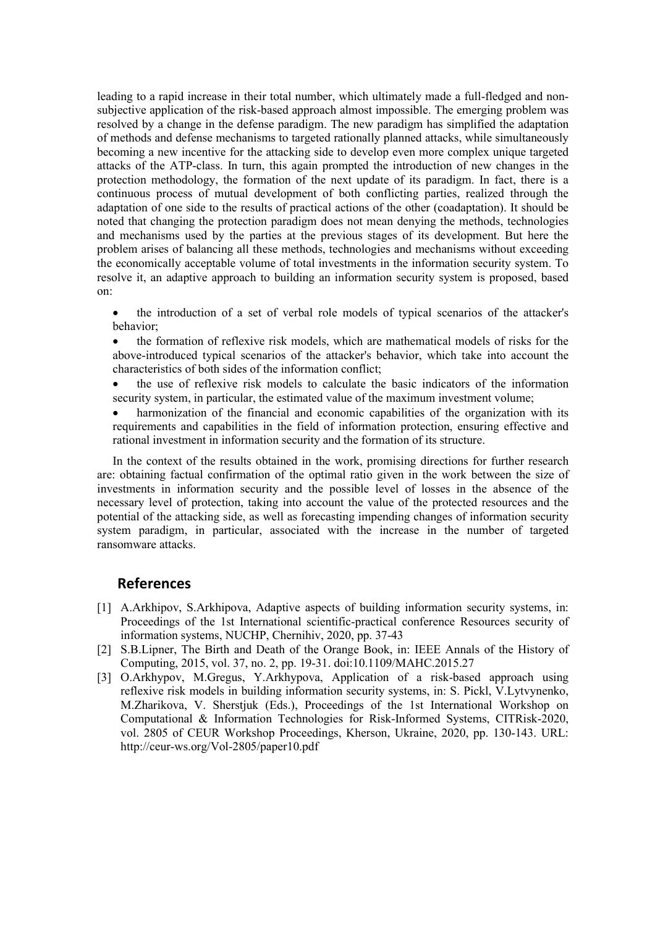leading to a rapid increase in their total number, which ultimately made a full-fledged and nonsubjective application of the risk-based approach almost impossible. The emerging problem was resolved by a change in the defense paradigm. The new paradigm has simplified the adaptation of methods and defense mechanisms to targeted rationally planned attacks, while simultaneously becoming a new incentive for the attacking side to develop even more complex unique targeted attacks of the ATP-class. In turn, this again prompted the introduction of new changes in the protection methodology, the formation of the next update of its paradigm. In fact, there is a continuous process of mutual development of both conflicting parties, realized through the adaptation of one side to the results of practical actions of the other (coadaptation). It should be noted that changing the protection paradigm does not mean denying the methods, technologies and mechanisms used by the parties at the previous stages of its development. But here the problem arises of balancing all these methods, technologies and mechanisms without exceeding the economically acceptable volume of total investments in the information security system. To resolve it, an adaptive approach to building an information security system is proposed, based on:

- the introduction of a set of verbal role models of typical scenarios of the attacker's behavior;
- the formation of reflexive risk models, which are mathematical models of risks for the above-introduced typical scenarios of the attacker's behavior, which take into account the characteristics of both sides of the information conflict;
- the use of reflexive risk models to calculate the basic indicators of the information security system, in particular, the estimated value of the maximum investment volume;
- harmonization of the financial and economic capabilities of the organization with its requirements and capabilities in the field of information protection, ensuring effective and rational investment in information security and the formation of its structure.

In the context of the results obtained in the work, promising directions for further research are: obtaining factual confirmation of the optimal ratio given in the work between the size of investments in information security and the possible level of losses in the absence of the necessary level of protection, taking into account the value of the protected resources and the potential of the attacking side, as well as forecasting impending changes of information security system paradigm, in particular, associated with the increase in the number of targeted ransomware attacks.

#### **References**

- [1] A.Arkhipov, S.Arkhipova, Adaptive aspects of building information security systems, in: Proceedings of the 1st International scientific-practical conference Resources security of information systems, NUCHP, Chernihiv, 2020, pp. 37-43
- [2] S.B.Lipner, The Birth and Death of the Orange Book, in: IEEE Annals of the History of Computing, 2015, vol. 37, no. 2, pp. 19-31. doi:10.1109/MAHC.2015.27
- [3] O.Arkhypov, M.Gregus, Y.Arkhypova, Application of a risk-based approach using reflexive risk models in building information security systems, in: S. Pickl, V.Lytvynenko, M.Zharikova, V. Sherstjuk (Eds.), Proceedings of the 1st International Workshop on Computational & Information Technologies for Risk-Informed Systems, CITRisk-2020, vol. 2805 of CEUR Workshop Proceedings, Kherson, Ukraine, 2020, pp. 130-143. URL: http://ceur-ws.org/Vol-2805/paper10.pdf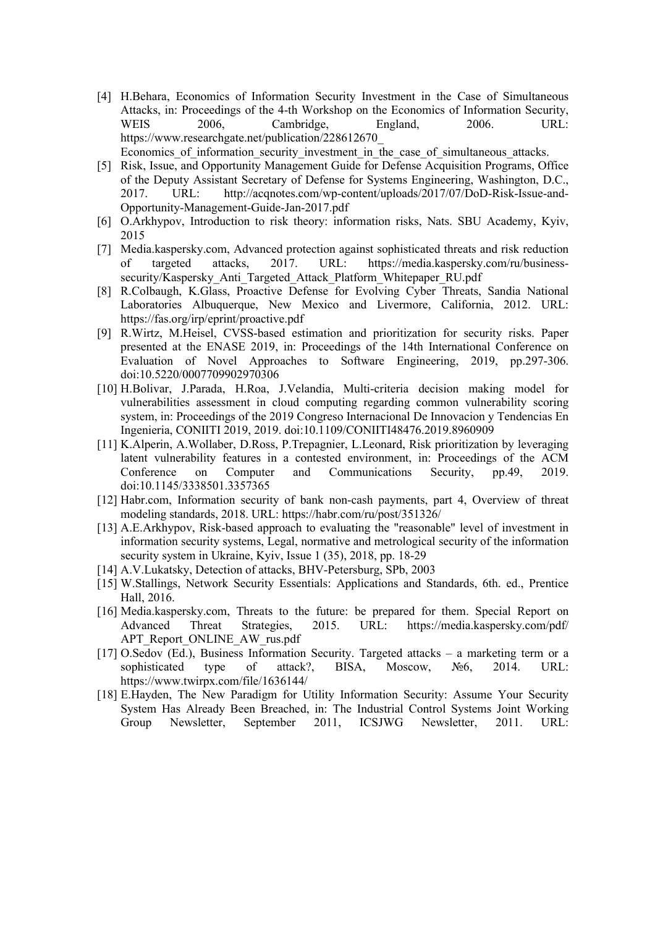- [4] H.Behara, Economics of Information Security Investment in the Case of Simultaneous Attacks, in: Proceedings of the 4-th Workshop on the Economics of Information Security, WEIS 2006, Cambridge, England, 2006. URL: https://www.researchgate.net/publication/228612670\_ Economics of information security investment in the case of simultaneous attacks.
- [5] Risk, Issue, and Opportunity Management Guide for Defense Acquisition Programs, Office of the Deputy Assistant Secretary of Defense for Systems Engineering, Washington, D.C., 2017. URL: http://acqnotes.com/wp-content/uploads/2017/07/DoD-Risk-Issue-and-Opportunity-Management-Guide-Jan-2017.pdf
- [6] O.Arkhypov, Introduction to risk theory: information risks, Nats. SBU Academy, Kyiv, 2015
- [7] Media.kaspersky.com, Advanced protection against sophisticated threats and risk reduction of targeted attacks, 2017. URL: https://media.kaspersky.com/ru/businesssecurity/Kaspersky\_Anti\_Targeted\_Attack\_Platform\_Whitepaper\_RU.pdf
- [8] R.Colbaugh, K.Glass, Proactive Defense for Evolving Cyber Threats, Sandia National Laboratories Albuquerque, New Mexico and Livermore, California, 2012. URL: https://fas.org/irp/eprint/proactive.pdf
- [9] R.Wirtz, M.Heisel, CVSS-based estimation and prioritization for security risks. Paper presented at the ENASE 2019, in: Proceedings of the 14th International Conference on Evaluation of Novel Approaches to Software Engineering, 2019, pp.297-306. doi:10.5220/0007709902970306
- [10] H.Bolivar, J.Parada, H.Roa, J.Velandia, Multi-criteria decision making model for vulnerabilities assessment in cloud computing regarding common vulnerability scoring system, in: Proceedings of the 2019 Congreso Internacional De Innovacion y Tendencias En Ingenieria, CONIITI 2019, 2019. doi:10.1109/CONIITI48476.2019.8960909
- [11] K.Alperin, A.Wollaber, D.Ross, P.Trepagnier, L.Leonard, Risk prioritization by leveraging latent vulnerability features in a contested environment, in: Proceedings of the ACM Conference on Computer and Communications Security, pp.49, 2019. doi:10.1145/3338501.3357365
- [12] Habr.com, Information security of bank non-cash payments, part 4, Overview of threat modeling standards, 2018. URL: https://habr.com/ru/post/351326/
- [13] A.E.Arkhуpov, Risk-based approach to evaluating the "reasonable" level of investment in information security systems, Legal, normative and metrological security of the information security system in Ukraine, Kyiv, Issue 1 (35), 2018, pp. 18-29
- [14] A.V.Lukatsky, Detection of attacks, BHV-Petersburg, SPb, 2003
- [15] W.Stallings, Network Security Essentials: Applications and Standards, 6th. ed., Prentice Hall, 2016.
- [16] Media.kaspersky.com, Threats to the future: be prepared for them. Special Report on Advanced Threat Strategies, 2015. URL: https://media.kaspersky.com/pdf/ APT\_Report\_ONLINE\_AW\_rus.pdf
- [17] O.Sedov (Ed.), Business Information Security. Targeted attacks a marketing term or a sophisticated type of attack?, BISA, Moscow, N<sup>o</sup> 6, 2014. URL: https://www.twirpx.com/file/1636144/
- [18] E.Hayden, The New Paradigm for Utility Information Security: Assume Your Security System Has Already Been Breached, in: The Industrial Control Systems Joint Working Group Newsletter, September 2011, ICSJWG Newsletter, 2011. URL: